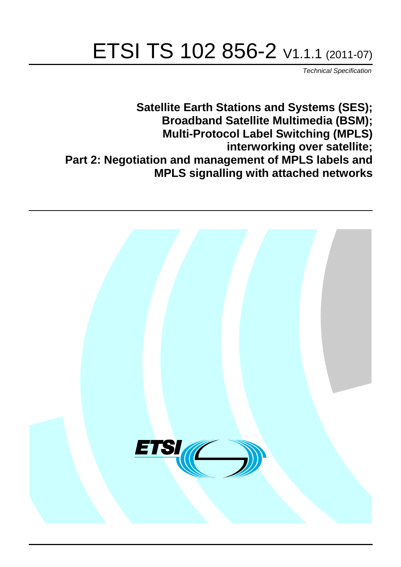# ETSI TS 102 856-2 V1.1.1 (2011-07)

*Technical Specification*

**Satellite Earth Stations and Systems (SES); Broadband Satellite Multimedia (BSM); Multi-Protocol Label Switching (MPLS) interworking over satellite; Part 2: Negotiation and management of MPLS labels and MPLS signalling with attached networks**

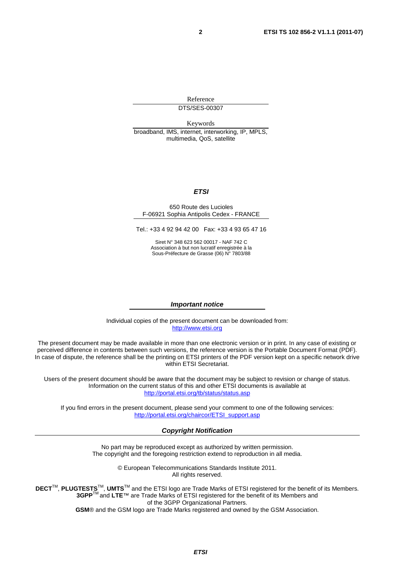Reference DTS/SES-00307

Keywords broadband, IMS, internet, interworking, IP, MPLS, multimedia, QoS, satellite

#### *ETSI*

#### 650 Route des Lucioles F-06921 Sophia Antipolis Cedex - FRANCE

Tel.: +33 4 92 94 42 00 Fax: +33 4 93 65 47 16

Siret N° 348 623 562 00017 - NAF 742 C Association à but non lucratif enregistrée à la Sous-Préfecture de Grasse (06) N° 7803/88

#### *Important notice*

Individual copies of the present document can be downloaded from: [http://www.etsi.org](http://www.etsi.org/)

The present document may be made available in more than one electronic version or in print. In any case of existing or perceived difference in contents between such versions, the reference version is the Portable Document Format (PDF). In case of dispute, the reference shall be the printing on ETSI printers of the PDF version kept on a specific network drive within ETSI Secretariat.

Users of the present document should be aware that the document may be subject to revision or change of status. Information on the current status of this and other ETSI documents is available at <http://portal.etsi.org/tb/status/status.asp>

If you find errors in the present document, please send your comment to one of the following services: [http://portal.etsi.org/chaircor/ETSI\\_support.asp](http://portal.etsi.org/chaircor/ETSI_support.asp)

#### *Copyright Notification*

No part may be reproduced except as authorized by written permission. The copyright and the foregoing restriction extend to reproduction in all media.

> © European Telecommunications Standards Institute 2011. All rights reserved.

DECT<sup>™</sup>, PLUGTESTS<sup>™</sup>, UMTS<sup>™</sup> and the ETSI logo are Trade Marks of ETSI registered for the benefit of its Members. **3GPP**TM and **LTE**™ are Trade Marks of ETSI registered for the benefit of its Members and of the 3GPP Organizational Partners.

**GSM**® and the GSM logo are Trade Marks registered and owned by the GSM Association.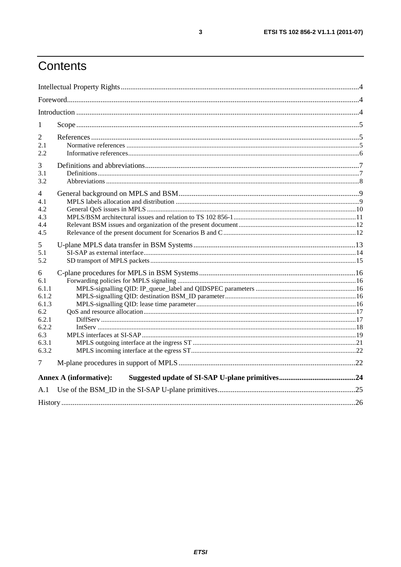# Contents

| 1                                                                                     |                               |  |
|---------------------------------------------------------------------------------------|-------------------------------|--|
| 2<br>2.1<br>2.2                                                                       |                               |  |
| 3<br>3.1<br>3.2                                                                       |                               |  |
| 4<br>4.1<br>4.2<br>4.3<br>4.4<br>4.5                                                  |                               |  |
| 5<br>5.1<br>5.2                                                                       |                               |  |
| 6<br>6.1<br>6.1.1<br>6.1.2<br>6.1.3<br>6.2<br>6.2.1<br>6.2.2<br>6.3<br>6.3.1<br>6.3.2 |                               |  |
| 7                                                                                     |                               |  |
|                                                                                       | <b>Annex A (informative):</b> |  |
| A.1                                                                                   |                               |  |
|                                                                                       |                               |  |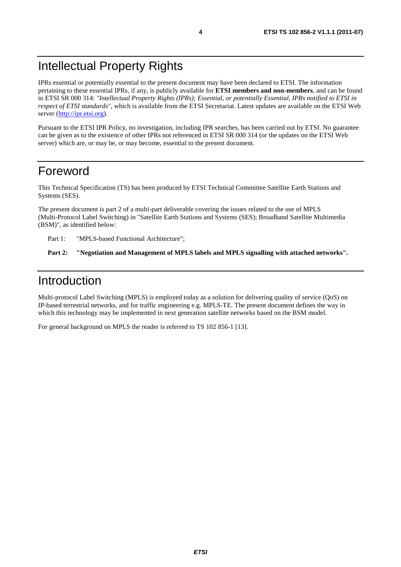# Intellectual Property Rights

IPRs essential or potentially essential to the present document may have been declared to ETSI. The information pertaining to these essential IPRs, if any, is publicly available for **ETSI members and non-members**, and can be found in ETSI SR 000 314: *"Intellectual Property Rights (IPRs); Essential, or potentially Essential, IPRs notified to ETSI in respect of ETSI standards"*, which is available from the ETSI Secretariat. Latest updates are available on the ETSI Web server ([http://ipr.etsi.org\)](http://webapp.etsi.org/IPR/home.asp).

Pursuant to the ETSI IPR Policy, no investigation, including IPR searches, has been carried out by ETSI. No guarantee can be given as to the existence of other IPRs not referenced in ETSI SR 000 314 (or the updates on the ETSI Web server) which are, or may be, or may become, essential to the present document.

### Foreword

This Technical Specification (TS) has been produced by ETSI Technical Committee Satellite Earth Stations and Systems (SES).

The present document is part 2 of a multi-part deliverable covering the issues related to the use of MPLS (Multi-Protocol Label Switching) in "Satellite Earth Stations and Systems (SES); Broadband Satellite Multimedia (BSM)", as identified below:

Part 1: "MPLS-based Functional Architecture";

Part 2: "Negotiation and Management of MPLS labels and MPLS signalling with attached networks".

# Introduction

Multi-protocol Label Switching (MPLS) is employed today as a solution for delivering quality of service (QoS) on IP-based terrestrial networks, and for traffic engineering e.g. MPLS-TE. The present document defines the way in which this technology may be implemented in next generation satellite networks based on the BSM model.

For general background on MPLS the reader is referred to TS 102 856-1 [13].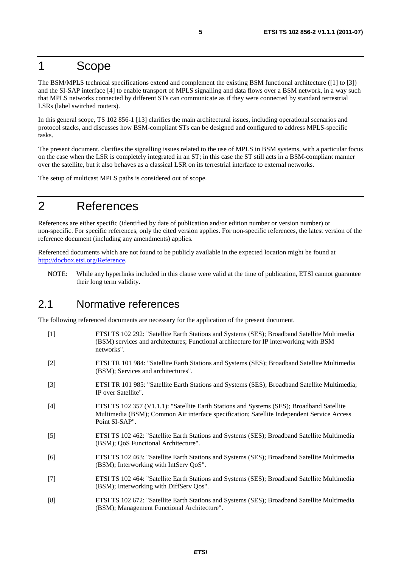### 1 Scope

The BSM/MPLS technical specifications extend and complement the existing BSM functional architecture ([1] to [3]) and the SI-SAP interface [4] to enable transport of MPLS signalling and data flows over a BSM network, in a way such that MPLS networks connected by different STs can communicate as if they were connected by standard terrestrial LSRs (label switched routers).

In this general scope, TS 102 856-1 [13] clarifies the main architectural issues, including operational scenarios and protocol stacks, and discusses how BSM-compliant STs can be designed and configured to address MPLS-specific tasks.

The present document, clarifies the signalling issues related to the use of MPLS in BSM systems, with a particular focus on the case when the LSR is completely integrated in an ST; in this case the ST still acts in a BSM-compliant manner over the satellite, but it also behaves as a classical LSR on its terrestrial interface to external networks.

The setup of multicast MPLS paths is considered out of scope.

# 2 References

References are either specific (identified by date of publication and/or edition number or version number) or non-specific. For specific references, only the cited version applies. For non-specific references, the latest version of the reference document (including any amendments) applies.

Referenced documents which are not found to be publicly available in the expected location might be found at [http://docbox.etsi.org/Reference.](http://docbox.etsi.org/Reference)

NOTE: While any hyperlinks included in this clause were valid at the time of publication, ETSI cannot guarantee their long term validity.

#### 2.1 Normative references

The following referenced documents are necessary for the application of the present document.

- [1] ETSI TS 102 292: "Satellite Earth Stations and Systems (SES); Broadband Satellite Multimedia (BSM) services and architectures; Functional architecture for IP interworking with BSM networks".
- [2] ETSI TR 101 984: "Satellite Earth Stations and Systems (SES); Broadband Satellite Multimedia (BSM); Services and architectures".
- [3] ETSI TR 101 985: "Satellite Earth Stations and Systems (SES); Broadband Satellite Multimedia; IP over Satellite".
- [4] ETSI TS 102 357 (V1.1.1): "Satellite Earth Stations and Systems (SES); Broadband Satellite Multimedia (BSM); Common Air interface specification; Satellite Independent Service Access Point SI-SAP".
- [5] ETSI TS 102 462: "Satellite Earth Stations and Systems (SES); Broadband Satellite Multimedia (BSM); QoS Functional Architecture".
- [6] ETSI TS 102 463: "Satellite Earth Stations and Systems (SES); Broadband Satellite Multimedia (BSM); Interworking with IntServ QoS".
- [7] ETSI TS 102 464: "Satellite Earth Stations and Systems (SES); Broadband Satellite Multimedia (BSM); Interworking with DiffServ Qos".
- [8] ETSI TS 102 672: "Satellite Earth Stations and Systems (SES); Broadband Satellite Multimedia (BSM); Management Functional Architecture".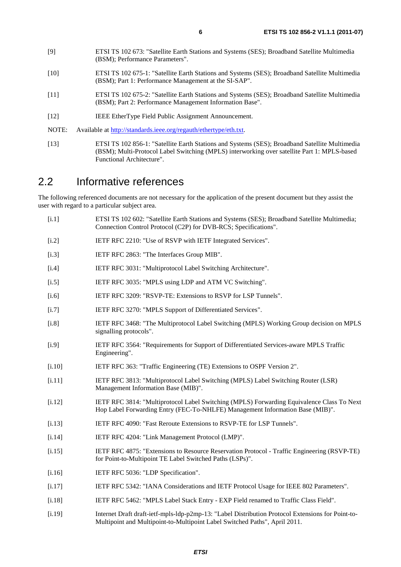- [9] ETSI TS 102 673: "Satellite Earth Stations and Systems (SES); Broadband Satellite Multimedia (BSM); Performance Parameters".
- [10] ETSI TS 102 675-1: "Satellite Earth Stations and Systems (SES); Broadband Satellite Multimedia (BSM); Part 1: Performance Management at the SI-SAP".
- [11] ETSI TS 102 675-2: "Satellite Earth Stations and Systems (SES); Broadband Satellite Multimedia (BSM); Part 2: Performance Management Information Base".
- [12] IEEE EtherType Field Public Assignment Announcement.
- NOTE: Available at [http://standards.ieee.org/regauth/ethertype/eth.txt.](http://standards.ieee.org/regauth/ethertype/eth.txt)
- [13] ETSI TS 102 856-1: "Satellite Earth Stations and Systems (SES); Broadband Satellite Multimedia (BSM); Multi-Protocol Label Switching (MPLS) interworking over satellite Part 1: MPLS-based Functional Architecture".

#### 2.2 Informative references

The following referenced documents are not necessary for the application of the present document but they assist the user with regard to a particular subject area.

- [i.1] ETSI TS 102 602: "Satellite Earth Stations and Systems (SES); Broadband Satellite Multimedia; Connection Control Protocol (C2P) for DVB-RCS; Specifications".
- [i.2] IETF RFC 2210: "Use of RSVP with IETF Integrated Services".
- [i.3] IETF RFC 2863: "The Interfaces Group MIB".
- [i.4] IETF RFC 3031: "Multiprotocol Label Switching Architecture".
- [i.5] IETF RFC 3035: "MPLS using LDP and ATM VC Switching".
- [i.6] IETF RFC 3209: "RSVP-TE: Extensions to RSVP for LSP Tunnels".
- [i.7] IETF RFC 3270: "MPLS Support of Differentiated Services".
- [i.8] IETF RFC 3468: "The Multiprotocol Label Switching (MPLS) Working Group decision on MPLS signalling protocols".
- [i.9] IETF RFC 3564: "Requirements for Support of Differentiated Services-aware MPLS Traffic Engineering".
- [i.10] IETF RFC 363: "Traffic Engineering (TE) Extensions to OSPF Version 2".
- [i.11] IETF RFC 3813: "Multiprotocol Label Switching (MPLS) Label Switching Router (LSR) Management Information Base (MIB)".
- [i.12] IETF RFC 3814: "Multiprotocol Label Switching (MPLS) Forwarding Equivalence Class To Next Hop Label Forwarding Entry (FEC-To-NHLFE) Management Information Base (MIB)".
- [i.13] IETF RFC 4090: "Fast Reroute Extensions to RSVP-TE for LSP Tunnels".
- [i.14] IETF RFC 4204: "Link Management Protocol (LMP)".
- [i.15] IETF RFC 4875: "Extensions to Resource Reservation Protocol Traffic Engineering (RSVP-TE) for Point-to-Multipoint TE Label Switched Paths (LSPs)".
- [i.16] IETF RFC 5036: "LDP Specification".
- [i.17] IETF RFC 5342: "IANA Considerations and IETF Protocol Usage for IEEE 802 Parameters".
- [i.18] IETF RFC 5462: "MPLS Label Stack Entry EXP Field renamed to Traffic Class Field".
- [i.19] Internet Draft draft-ietf-mpls-ldp-p2mp-13: "Label Distribution Protocol Extensions for Point-to-Multipoint and Multipoint-to-Multipoint Label Switched Paths", April 2011.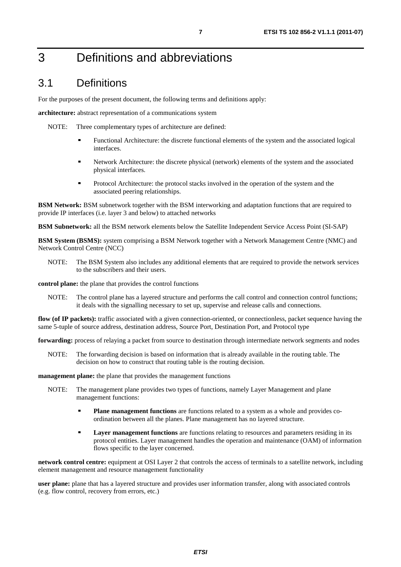# 3 Definitions and abbreviations

### 3.1 Definitions

For the purposes of the present document, the following terms and definitions apply:

**architecture:** abstract representation of a communications system

NOTE: Three complementary types of architecture are defined:

- Functional Architecture: the discrete functional elements of the system and the associated logical interfaces.
- Network Architecture: the discrete physical (network) elements of the system and the associated physical interfaces.
- Protocol Architecture: the protocol stacks involved in the operation of the system and the associated peering relationships.

**BSM Network:** BSM subnetwork together with the BSM interworking and adaptation functions that are required to provide IP interfaces (i.e. layer 3 and below) to attached networks

**BSM Subnetwork:** all the BSM network elements below the Satellite Independent Service Access Point (SI-SAP)

**BSM System (BSMS):** system comprising a BSM Network together with a Network Management Centre (NMC) and Network Control Centre (NCC)

NOTE: The BSM System also includes any additional elements that are required to provide the network services to the subscribers and their users.

**control plane:** the plane that provides the control functions

NOTE: The control plane has a layered structure and performs the call control and connection control functions; it deals with the signalling necessary to set up, supervise and release calls and connections.

**flow (of IP packets):** traffic associated with a given connection-oriented, or connectionless, packet sequence having the same 5-tuple of source address, destination address, Source Port, Destination Port, and Protocol type

**forwarding:** process of relaying a packet from source to destination through intermediate network segments and nodes

NOTE: The forwarding decision is based on information that is already available in the routing table. The decision on how to construct that routing table is the routing decision.

**management plane:** the plane that provides the management functions

- NOTE: The management plane provides two types of functions, namely Layer Management and plane management functions:
	- **Plane management functions** are functions related to a system as a whole and provides coordination between all the planes. Plane management has no layered structure.
	- **Layer management functions** are functions relating to resources and parameters residing in its protocol entities. Layer management handles the operation and maintenance (OAM) of information flows specific to the layer concerned.

**network control centre:** equipment at OSI Layer 2 that controls the access of terminals to a satellite network, including element management and resource management functionality

**user plane:** plane that has a layered structure and provides user information transfer, along with associated controls (e.g. flow control, recovery from errors, etc.)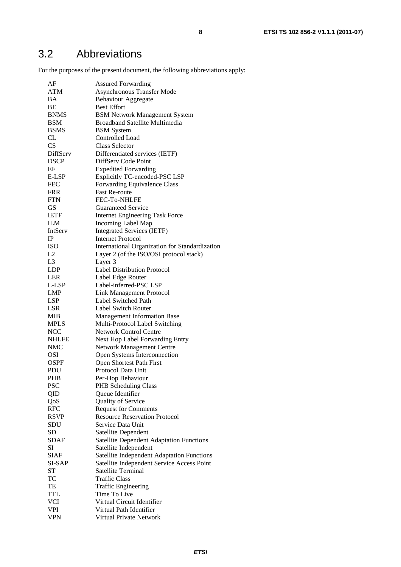For the purposes of the present document, the following abbreviations apply:

| AF             | <b>Assured Forwarding</b>                         |
|----------------|---------------------------------------------------|
| <b>ATM</b>     | Asynchronous Transfer Mode                        |
| BA             | <b>Behaviour Aggregate</b>                        |
| BE             | <b>Best Effort</b>                                |
| <b>BNMS</b>    | <b>BSM Network Management System</b>              |
| <b>BSM</b>     | <b>Broadband Satellite Multimedia</b>             |
| <b>BSMS</b>    | <b>BSM</b> System                                 |
| CL             | Controlled Load                                   |
| CS             | <b>Class Selector</b>                             |
| DiffServ       | Differentiated services (IETF)                    |
| <b>DSCP</b>    | DiffServ Code Point                               |
| EF             | <b>Expedited Forwarding</b>                       |
| E-LSP          | Explicitly TC-encoded-PSC LSP                     |
| <b>FEC</b>     | Forwarding Equivalence Class                      |
| <b>FRR</b>     | <b>Fast Re-route</b>                              |
| <b>FTN</b>     | <b>FEC-To-NHLFE</b>                               |
| GS             | Guaranteed Service                                |
| <b>IETF</b>    | <b>Internet Engineering Task Force</b>            |
| <b>ILM</b>     | <b>Incoming Label Map</b>                         |
| IntServ        | <b>Integrated Services (IETF)</b>                 |
| IP             | <b>Internet Protocol</b>                          |
| <b>ISO</b>     |                                                   |
| L2             | International Organization for Standardization    |
| L <sub>3</sub> | Layer 2 (of the ISO/OSI protocol stack)           |
|                | Layer 3                                           |
| <b>LDP</b>     | <b>Label Distribution Protocol</b>                |
| <b>LER</b>     | Label Edge Router                                 |
| L-LSP          | Label-inferred-PSC LSP                            |
| <b>LMP</b>     | Link Management Protocol                          |
| <b>LSP</b>     | Label Switched Path                               |
| LSR            | <b>Label Switch Router</b>                        |
| MIB            | <b>Management Information Base</b>                |
| <b>MPLS</b>    | Multi-Protocol Label Switching                    |
| <b>NCC</b>     | <b>Network Control Centre</b>                     |
| <b>NHLFE</b>   | Next Hop Label Forwarding Entry                   |
| NMC            | <b>Network Management Centre</b>                  |
| <b>OSI</b>     | Open Systems Interconnection                      |
| OSPF           | Open Shortest Path First                          |
| PDU            | Protocol Data Unit                                |
| <b>PHB</b>     | Per-Hop Behaviour                                 |
| <b>PSC</b>     | PHB Scheduling Class                              |
| QID            | Queue Identifier                                  |
| QoS            | Quality of Service                                |
| <b>RFC</b>     | <b>Request for Comments</b>                       |
| <b>RSVP</b>    | <b>Resource Reservation Protocol</b>              |
| SDU            | Service Data Unit                                 |
| <b>SD</b>      | Satellite Dependent                               |
| <b>SDAF</b>    | <b>Satellite Dependent Adaptation Functions</b>   |
| SI             | Satellite Independent                             |
| <b>SIAF</b>    | <b>Satellite Independent Adaptation Functions</b> |
| SI-SAP         | Satellite Independent Service Access Point        |
| <b>ST</b>      | Satellite Terminal                                |
| TC             | <b>Traffic Class</b>                              |
| TE             | <b>Traffic Engineering</b>                        |
| <b>TTL</b>     | Time To Live                                      |
| VCI            | Virtual Circuit Identifier                        |
| VPI            | Virtual Path Identifier                           |
| VPN            | Virtual Private Network                           |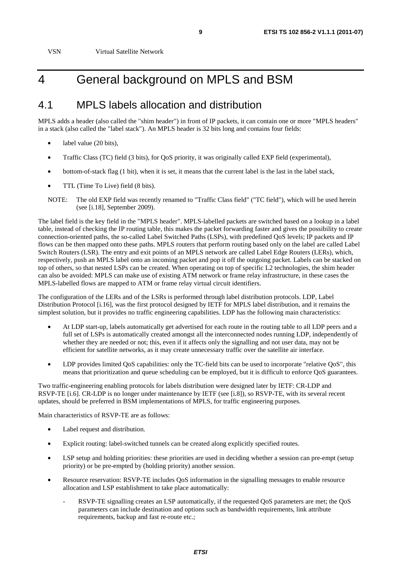VSN Virtual Satellite Network

# 4 General background on MPLS and BSM

#### 4.1 MPLS labels allocation and distribution

MPLS adds a header (also called the "shim header") in front of IP packets, it can contain one or more "MPLS headers" in a stack (also called the "label stack"). An MPLS header is 32 bits long and contains four fields:

- label value (20 bits),
- Traffic Class (TC) field (3 bits), for QoS priority, it was originally called EXP field (experimental),
- bottom-of-stack flag (1 bit), when it is set, it means that the current label is the last in the label stack,
- TTL (Time To Live) field (8 bits).
- NOTE: The old EXP field was recently renamed to "Traffic Class field" ("TC field"), which will be used herein (see [i.18], September 2009).

The label field is the key field in the "MPLS header". MPLS-labelled packets are switched based on a lookup in a label table, instead of checking the IP routing table, this makes the packet forwarding faster and gives the possibility to create connection-oriented paths, the so-called Label Switched Paths (LSPs), with predefined QoS levels; IP packets and IP flows can be then mapped onto these paths. MPLS routers that perform routing based only on the label are called Label Switch Routers (LSR). The entry and exit points of an MPLS network are called Label Edge Routers (LERs), which, respectively, push an MPLS label onto an incoming packet and pop it off the outgoing packet. Labels can be stacked on top of others, so that nested LSPs can be created. When operating on top of specific L2 technologies, the shim header can also be avoided: MPLS can make use of existing ATM network or frame relay infrastructure, in these cases the MPLS-labelled flows are mapped to ATM or frame relay virtual circuit identifiers.

The configuration of the LERs and of the LSRs is performed through label distribution protocols. LDP, Label Distribution Protocol [i.16], was the first protocol designed by IETF for MPLS label distribution, and it remains the simplest solution, but it provides no traffic engineering capabilities. LDP has the following main characteristics:

- At LDP start-up, labels automatically get advertised for each route in the routing table to all LDP peers and a full set of LSPs is automatically created amongst all the interconnected nodes running LDP, independently of whether they are needed or not; this, even if it affects only the signalling and not user data, may not be efficient for satellite networks, as it may create unnecessary traffic over the satellite air interface.
- LDP provides limited QoS capabilities: only the TC-field bits can be used to incorporate "relative QoS", this means that prioritization and queue scheduling can be employed, but it is difficult to enforce QoS guarantees.

Two traffic-engineering enabling protocols for labels distribution were designed later by IETF: CR-LDP and RSVP-TE [i.6]. CR-LDP is no longer under maintenance by IETF (see [i.8]), so RSVP-TE, with its several recent updates, should be preferred in BSM implementations of MPLS, for traffic engineering purposes.

Main characteristics of RSVP-TE are as follows:

- Label request and distribution.
- Explicit routing: label-switched tunnels can be created along explicitly specified routes.
- LSP setup and holding priorities: these priorities are used in deciding whether a session can pre-empt (setup priority) or be pre-empted by (holding priority) another session.
- Resource reservation: RSVP-TE includes QoS information in the signalling messages to enable resource allocation and LSP establishment to take place automatically:
	- RSVP-TE signalling creates an LSP automatically, if the requested QoS parameters are met; the QoS parameters can include destination and options such as bandwidth requirements, link attribute requirements, backup and fast re-route etc.;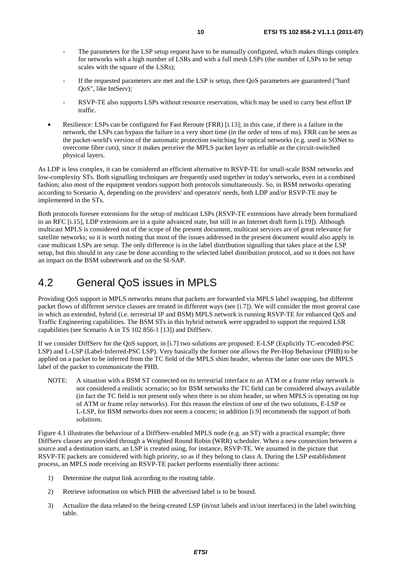- The parameters for the LSP setup request have to be manually configured, which makes things complex for networks with a high number of LSRs and with a full mesh LSPs (the number of LSPs to be setup scales with the square of the LSRs);
- If the requested parameters are met and the LSP is setup, then QoS parameters are guaranteed ("hard QoS", like IntServ);
- RSVP-TE also supports LSPs without resource reservation, which may be used to carry best effort IP traffic.
- Resilience: LSPs can be configured for Fast Reroute (FRR) [i.13]; in this case, if there is a failure in the network, the LSPs can bypass the failure in a very short time (in the order of tens of ms). FRR can be seen as the packet-world's version of the automatic protection switching for optical networks (e.g. used in SONet to overcome fibre cuts), since it makes perceive the MPLS packet layer as reliable as the circuit-switched physical layers.

As LDP is less complex, it can be considered an efficient alternative to RSVP-TE for small-scale BSM networks and low-complexity STs. Both signalling techniques are frequently used together in today's networks, even in a combined fashion; also most of the equipment vendors support both protocols simultaneously. So, in BSM networks operating according to Scenario A, depending on the providers' and operators' needs, both LDP and/or RSVP-TE may be implemented in the STs.

Both protocols foresee extensions for the setup of multicast LSPs (RSVP-TE extensions have already been formalized in an RFC [i.15], LDP extensions are in a quite advanced state, but still in an Internet draft form [i.19]). Although multicast MPLS is considered out of the scope of the present document, multicast services are of great relevance for satellite networks; so it is worth noting that most of the issues addressed in the present document would also apply in case multicast LSPs are setup. The only difference is in the label distribution signalling that takes place at the LSP setup, but this should in any case be done according to the selected label distribution protocol, and so it does not have an impact on the BSM subnetwork and on the SI-SAP.

### 4.2 General QoS issues in MPLS

Providing QoS support in MPLS networks means that packets are forwarded via MPLS label swapping, but different packet flows of different service classes are treated in different ways (see [i.7]). We will consider the most general case in which an extended, hybrid (i.e. terrestrial IP and BSM) MPLS network is running RSVP-TE for enhanced QoS and Traffic Engineering capabilities. The BSM STs in this hybrid network were upgraded to support the required LSR capabilities (see Scenario A in TS 102 856-1 [13]) and DiffServ.

If we consider DiffServ for the QoS support, in [i.7] two solutions are proposed: E-LSP (Explicitly TC-encoded-PSC LSP) and L-LSP (Label-Inferred-PSC LSP). Very basically the former one allows the Per-Hop Behaviour (PHB) to be applied on a packet to be inferred from the TC field of the MPLS shim header, whereas the latter one uses the MPLS label of the packet to communicate the PHB.

NOTE: A situation with a BSM ST connected on its terrestrial interface to an ATM or a frame relay network is not considered a realistic scenario; so for BSM networks the TC field can be considered always available (in fact the TC field is not present only when there is no shim header, so when MPLS is operating on top of ATM or frame relay networks). For this reason the election of one of the two solutions, E-LSP or L-LSP, for BSM networks does not seem a concern; in addition [i.9] recommends the support of both solutions.

Figure 4.1 illustrates the behaviour of a DiffServ-enabled MPLS node (e.g. an ST) with a practical example; three DiffServ classes are provided through a Weighted Round Robin (WRR) scheduler. When a new connection between a source and a destination starts, an LSP is created using, for instance, RSVP-TE. We assumed in the picture that RSVP-TE packets are considered with high priority, so as if they belong to class A. During the LSP establishment process, an MPLS node receiving an RSVP-TE packet performs essentially three actions:

- 1) Determine the output link according to the routing table.
- 2) Retrieve information on which PHB the advertised label is to be bound.
- 3) Actualize the data related to the being-created LSP (in/out labels and in/out interfaces) in the label switching table.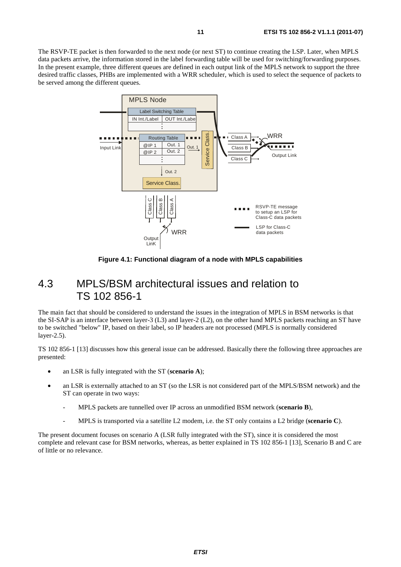The RSVP-TE packet is then forwarded to the next node (or next ST) to continue creating the LSP. Later, when MPLS data packets arrive, the information stored in the label forwarding table will be used for switching/forwarding purposes. In the present example, three different queues are defined in each output link of the MPLS network to support the three desired traffic classes, PHBs are implemented with a WRR scheduler, which is used to select the sequence of packets to be served among the different queues.



**Figure 4.1: Functional diagram of a node with MPLS capabilities** 

#### 4.3 MPLS/BSM architectural issues and relation to TS 102 856-1

The main fact that should be considered to understand the issues in the integration of MPLS in BSM networks is that the SI-SAP is an interface between layer-3 (L3) and layer-2 (L2), on the other hand MPLS packets reaching an ST have to be switched "below" IP, based on their label, so IP headers are not processed (MPLS is normally considered layer-2.5).

TS 102 856-1 [13] discusses how this general issue can be addressed. Basically there the following three approaches are presented:

- an LSR is fully integrated with the ST (**scenario A**);
- an LSR is externally attached to an ST (so the LSR is not considered part of the MPLS/BSM network) and the ST can operate in two ways:
	- MPLS packets are tunnelled over IP across an unmodified BSM network (**scenario B**),
	- MPLS is transported via a satellite L2 modem, i.e. the ST only contains a L2 bridge (**scenario C**).

The present document focuses on scenario A (LSR fully integrated with the ST), since it is considered the most complete and relevant case for BSM networks, whereas, as better explained in TS 102 856-1 [13], Scenario B and C are of little or no relevance.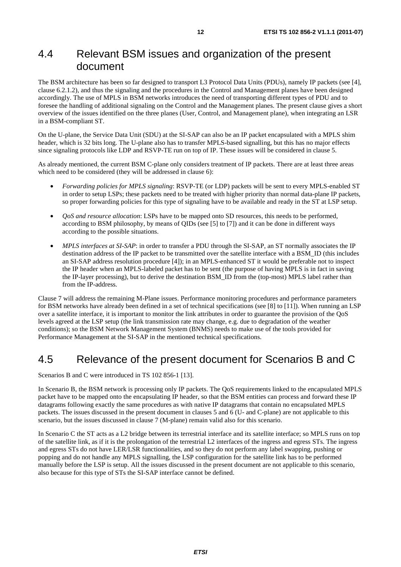### 4.4 Relevant BSM issues and organization of the present document

The BSM architecture has been so far designed to transport L3 Protocol Data Units (PDUs), namely IP packets (see [4], clause 6.2.1.2), and thus the signaling and the procedures in the Control and Management planes have been designed accordingly. The use of MPLS in BSM networks introduces the need of transporting different types of PDU and to foresee the handling of additional signaling on the Control and the Management planes. The present clause gives a short overview of the issues identified on the three planes (User, Control, and Management plane), when integrating an LSR in a BSM-compliant ST.

On the U-plane, the Service Data Unit (SDU) at the SI-SAP can also be an IP packet encapsulated with a MPLS shim header, which is 32 bits long. The U-plane also has to transfer MPLS-based signalling, but this has no major effects since signaling protocols like LDP and RSVP-TE run on top of IP. These issues will be considered in clause 5.

As already mentioned, the current BSM C-plane only considers treatment of IP packets. There are at least three areas which need to be considered (they will be addressed in clause 6):

- *Forwarding policies for MPLS signaling*: RSVP-TE (or LDP) packets will be sent to every MPLS-enabled ST in order to setup LSPs; these packets need to be treated with higher priority than normal data-plane IP packets, so proper forwarding policies for this type of signaling have to be available and ready in the ST at LSP setup.
- *QoS and resource allocation*: LSPs have to be mapped onto SD resources, this needs to be performed, according to BSM philosophy, by means of QIDs (see [5] to [7]) and it can be done in different ways according to the possible situations.
- *MPLS interfaces at SI-SAP*: in order to transfer a PDU through the SI-SAP, an ST normally associates the IP destination address of the IP packet to be transmitted over the satellite interface with a BSM\_ID (this includes an SI-SAP address resolution procedure [4]); in an MPLS-enhanced ST it would be preferable not to inspect the IP header when an MPLS-labeled packet has to be sent (the purpose of having MPLS is in fact in saving the IP-layer processing), but to derive the destination BSM\_ID from the (top-most) MPLS label rather than from the IP-address.

Clause 7 will address the remaining M-Plane issues. Performance monitoring procedures and performance parameters for BSM networks have already been defined in a set of technical specifications (see [8] to [11]). When running an LSP over a satellite interface, it is important to monitor the link attributes in order to guarantee the provision of the QoS levels agreed at the LSP setup (the link transmission rate may change, e.g. due to degradation of the weather conditions); so the BSM Network Management System (BNMS) needs to make use of the tools provided for Performance Management at the SI-SAP in the mentioned technical specifications.

#### 4.5 Relevance of the present document for Scenarios B and C

Scenarios B and C were introduced in TS 102 856-1 [13].

In Scenario B, the BSM network is processing only IP packets. The QoS requirements linked to the encapsulated MPLS packet have to be mapped onto the encapsulating IP header, so that the BSM entities can process and forward these IP datagrams following exactly the same procedures as with native IP datagrams that contain no encapsulated MPLS packets. The issues discussed in the present document in clauses 5 and 6 (U- and C-plane) are not applicable to this scenario, but the issues discussed in clause 7 (M-plane) remain valid also for this scenario.

In Scenario C the ST acts as a L2 bridge between its terrestrial interface and its satellite interface; so MPLS runs on top of the satellite link, as if it is the prolongation of the terrestrial L2 interfaces of the ingress and egress STs. The ingress and egress STs do not have LER/LSR functionalities, and so they do not perform any label swapping, pushing or popping and do not handle any MPLS signalling, the LSP configuration for the satellite link has to be performed manually before the LSP is setup. All the issues discussed in the present document are not applicable to this scenario, also because for this type of STs the SI-SAP interface cannot be defined.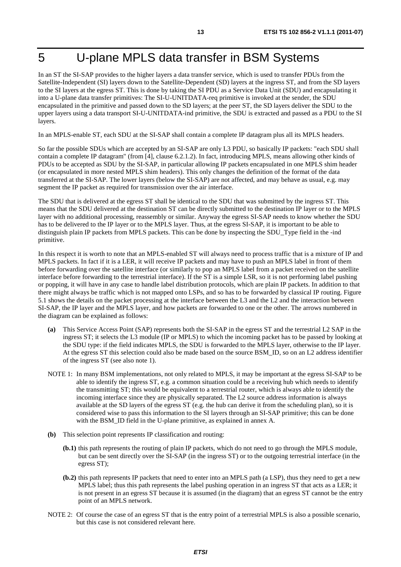# 5 U-plane MPLS data transfer in BSM Systems

In an ST the SI-SAP provides to the higher layers a data transfer service, which is used to transfer PDUs from the Satellite-Independent (SI) layers down to the Satellite-Dependent (SD) layers at the ingress ST, and from the SD layers to the SI layers at the egress ST. This is done by taking the SI PDU as a Service Data Unit (SDU) and encapsulating it into a U-plane data transfer primitives: The SI-U-UNITDATA-req primitive is invoked at the sender, the SDU encapsulated in the primitive and passed down to the SD layers; at the peer ST, the SD layers deliver the SDU to the upper layers using a data transport SI-U-UNITDATA-ind primitive, the SDU is extracted and passed as a PDU to the SI layers.

In an MPLS-enable ST, each SDU at the SI-SAP shall contain a complete IP datagram plus all its MPLS headers.

So far the possible SDUs which are accepted by an SI-SAP are only L3 PDU, so basically IP packets: "each SDU shall contain a complete IP datagram" (from [4], clause 6.2.1.2). In fact, introducing MPLS, means allowing other kinds of PDUs to be accepted as SDU by the SI-SAP, in particular allowing IP packets encapsulated in one MPLS shim header (or encapsulated in more nested MPLS shim headers). This only changes the definition of the format of the data transferred at the SI-SAP. The lower layers (below the SI-SAP) are not affected, and may behave as usual, e.g. may segment the IP packet as required for transmission over the air interface.

The SDU that is delivered at the egress ST shall be identical to the SDU that was submitted by the ingress ST. This means that the SDU delivered at the destination ST can be directly submitted to the destination IP layer or to the MPLS layer with no additional processing, reassembly or similar. Anyway the egress SI-SAP needs to know whether the SDU has to be delivered to the IP layer or to the MPLS layer. Thus, at the egress SI-SAP, it is important to be able to distinguish plain IP packets from MPLS packets. This can be done by inspecting the SDU\_Type field in the -ind primitive.

In this respect it is worth to note that an MPLS-enabled ST will always need to process traffic that is a mixture of IP and MPLS packets. In fact if it is a LER, it will receive IP packets and may have to push an MPLS label in front of them before forwarding over the satellite interface (or similarly to pop an MPLS label from a packet received on the satellite interface before forwarding to the terrestrial interface). If the ST is a simple LSR, so it is not performing label pushing or popping, it will have in any case to handle label distribution protocols, which are plain IP packets. In addition to that there might always be traffic which is not mapped onto LSPs, and so has to be forwarded by classical IP routing. Figure 5.1 shows the details on the packet processing at the interface between the L3 and the L2 and the interaction between SI-SAP, the IP layer and the MPLS layer, and how packets are forwarded to one or the other. The arrows numbered in the diagram can be explained as follows:

- **(a)** This Service Access Point (SAP) represents both the SI-SAP in the egress ST and the terrestrial L2 SAP in the ingress ST; it selects the L3 module (IP or MPLS) to which the incoming packet has to be passed by looking at the SDU type: if the field indicates MPLS, the SDU is forwarded to the MPLS layer, otherwise to the IP layer. At the egress ST this selection could also be made based on the source BSM\_ID, so on an L2 address identifier of the ingress ST (see also note 1).
- NOTE 1: In many BSM implementations, not only related to MPLS, it may be important at the egress SI-SAP to be able to identify the ingress ST, e.g. a common situation could be a receiving hub which needs to identify the transmitting ST; this would be equivalent to a terrestrial router, which is always able to identify the incoming interface since they are physically separated. The L2 source address information is always available at the SD layers of the egress ST (e.g. the hub can derive it from the scheduling plan), so it is considered wise to pass this information to the SI layers through an SI-SAP primitive; this can be done with the BSM\_ID field in the U-plane primitive, as explained in annex A.
- **(b)** This selection point represents IP classification and routing:
	- **(b.1)** this path represents the routing of plain IP packets, which do not need to go through the MPLS module, but can be sent directly over the SI-SAP (in the ingress ST) or to the outgoing terrestrial interface (in the egress ST);
	- **(b.2)** this path represents IP packets that need to enter into an MPLS path (a LSP), thus they need to get a new MPLS label; thus this path represents the label pushing operation in an ingress ST that acts as a LER; it is not present in an egress ST because it is assumed (in the diagram) that an egress ST cannot be the entry point of an MPLS network.
- NOTE 2: Of course the case of an egress ST that is the entry point of a terrestrial MPLS is also a possible scenario, but this case is not considered relevant here.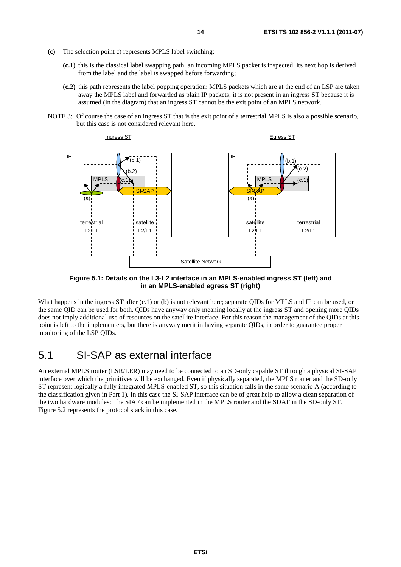- **(c)** The selection point c) represents MPLS label switching:
	- **(c.1)** this is the classical label swapping path, an incoming MPLS packet is inspected, its next hop is derived from the label and the label is swapped before forwarding;
	- **(c.2)** this path represents the label popping operation: MPLS packets which are at the end of an LSP are taken away the MPLS label and forwarded as plain IP packets; it is not present in an ingress ST because it is assumed (in the diagram) that an ingress ST cannot be the exit point of an MPLS network.
- NOTE 3: Of course the case of an ingress ST that is the exit point of a terrestrial MPLS is also a possible scenario, but this case is not considered relevant here.



**Figure 5.1: Details on the L3-L2 interface in an MPLS-enabled ingress ST (left) and in an MPLS-enabled egress ST (right)** 

What happens in the ingress ST after (c.1) or (b) is not relevant here; separate QIDs for MPLS and IP can be used, or the same QID can be used for both. QIDs have anyway only meaning locally at the ingress ST and opening more QIDs does not imply additional use of resources on the satellite interface. For this reason the management of the QIDs at this point is left to the implementers, but there is anyway merit in having separate QIDs, in order to guarantee proper monitoring of the LSP QIDs.

### 5.1 SI-SAP as external interface

An external MPLS router (LSR/LER) may need to be connected to an SD-only capable ST through a physical SI-SAP interface over which the primitives will be exchanged. Even if physically separated, the MPLS router and the SD-only ST represent logically a fully integrated MPLS-enabled ST, so this situation falls in the same scenario A (according to the classification given in Part 1). In this case the SI-SAP interface can be of great help to allow a clean separation of the two hardware modules: The SIAF can be implemented in the MPLS router and the SDAF in the SD-only ST. Figure 5.2 represents the protocol stack in this case.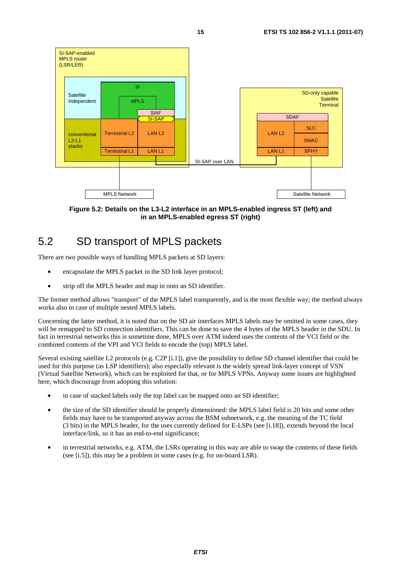

**Figure 5.2: Details on the L3-L2 interface in an MPLS-enabled ingress ST (left) and in an MPLS-enabled egress ST (right)** 

# 5.2 SD transport of MPLS packets

There are two possible ways of handling MPLS packets at SD layers:

- encapsulate the MPLS packet in the SD link layer protocol;
- strip off the MPLS header and map in onto an SD identifier.

The former method allows "transport" of the MPLS label transparently, and is the most flexible way; the method always works also in case of multiple nested MPLS labels.

Concerning the latter method, it is noted that on the SD air interfaces MPLS labels may be omitted in some cases, they will be remapped to SD connection identifiers. This can be done to save the 4 bytes of the MPLS header in the SDU. In fact in terrestrial networks this is sometime done, MPLS over ATM indeed uses the contents of the VCI field or the combined contents of the VPI and VCI fields to encode the (top) MPLS label.

Several existing satellite L2 protocols (e.g. C2P [i.1]), give the possibility to define SD channel identifier that could be used for this purpose (as LSP identifiers); also especially relevant is the widely spread link-layer concept of VSN (Virtual Satellite Network), which can be exploited for that, or for MPLS VPNs. Anyway some issues are highlighted here, which discourage from adopting this solution:

- in case of stacked labels only the top label can be mapped onto an SD identifier;
- the size of the SD identifier should be properly dimensioned: the MPLS label field is 20 bits and some other fields may have to be transported anyway across the BSM subnetwork, e.g. the meaning of the TC field (3 bits) in the MPLS header, for the uses currently defined for E-LSPs (see [i.18]), extends beyond the local interface/link, so it has an end-to-end significance;
- in terrestrial networks, e.g. ATM, the LSRs operating in this way are able to swap the contents of these fields (see [i.5]), this may be a problem in some cases (e.g. for on-board LSR).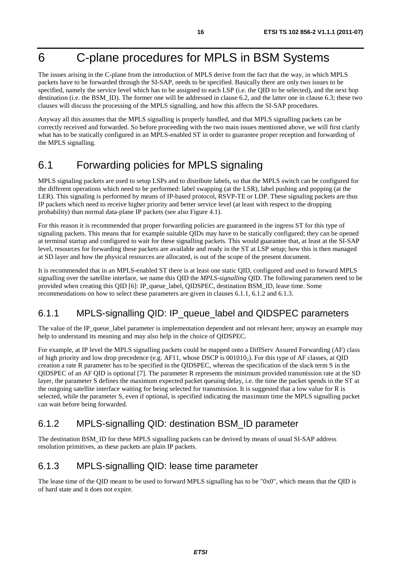# 6 C-plane procedures for MPLS in BSM Systems

The issues arising in the C-plane from the introduction of MPLS derive from the fact that the way, in which MPLS packets have to be forwarded through the SI-SAP, needs to be specified. Basically there are only two issues to be specified, namely the service level which has to be assigned to each LSP (i.e. the QID to be selected), and the next hop destination (i.e. the BSM\_ID). The former one will be addressed in clause 6.2, and the latter one in clause 6.3; these two clauses will discuss the processing of the MPLS signalling, and how this affects the SI-SAP procedures.

Anyway all this assumes that the MPLS signalling is properly handled, and that MPLS signalling packets can be correctly received and forwarded. So before proceeding with the two main issues mentioned above, we will first clarify what has to be statically configured in an MPLS-enabled ST in order to guarantee proper reception and forwarding of the MPLS signalling.

# 6.1 Forwarding policies for MPLS signaling

MPLS signaling packets are used to setup LSPs and to distribute labels, so that the MPLS switch can be configured for the different operations which need to be performed: label swapping (at the LSR), label pushing and popping (at the LER). This signaling is performed by means of IP-based protocol, RSVP-TE or LDP. These signaling packets are thus IP packets which need to receive higher priority and better service level (at least with respect to the dropping probability) than normal data-plane IP packets (see also Figure 4.1).

For this reason it is recommended that proper forwarding policies are guaranteed in the ingress ST for this type of signaling packets. This means that for example suitable QIDs may have to be statically configured; they can be opened at terminal startup and configured to wait for these signalling packets. This would guarantee that, at least at the SI-SAP level, resources for forwarding these packets are available and ready in the ST at LSP setup; how this is then managed at SD layer and how the physical resources are allocated, is out of the scope of the present document.

It is recommended that in an MPLS-enabled ST there is at least one static QID, configured and used to forward MPLS signalling over the satellite interface, we name this QID the *MPLS-signalling* QID. The following parameters need to be provided when creating this QID [6]: IP\_queue\_label, QIDSPEC, destination BSM\_ID, lease time. Some recommendations on how to select these parameters are given in clauses 6.1.1, 6.1.2 and 6.1.3.

#### 6.1.1 MPLS-signalling QID: IP\_queue\_label and QIDSPEC parameters

The value of the IP queue label parameter is implementation dependent and not relevant here; anyway an example may help to understand its meaning and may also help in the choice of QIDSPEC.

For example, at IP level the MPLS signalling packets could be mapped onto a DiffServ Assured Forwarding (AF) class of high priority and low drop precedence (e.g. AF11, whose DSCP is 0010102). For this type of AF classes, at QID creation a rate R parameter has to be specified in the QIDSPEC, whereas the specification of the slack term S in the QIDSPEC of an AF QID is optional [7]. The parameter R represents the minimum provided transmission rate at the SD layer, the parameter S defines the maximum expected packet queuing delay, i.e. the time the packet spends in the ST at the outgoing satellite interface waiting for being selected for transmission. It is suggested that a low value for R is selected, while the parameter S, even if optional, is specified indicating the maximum time the MPLS signalling packet can wait before being forwarded.

#### 6.1.2 MPLS-signalling QID: destination BSM\_ID parameter

The destination BSM\_ID for these MPLS signalling packets can be derived by means of usual SI-SAP address resolution primitives, as these packets are plain IP packets.

#### 6.1.3 MPLS-signalling QID: lease time parameter

The lease time of the QID meant to be used to forward MPLS signalling has to be "0x0", which means that the QID is of hard state and it does not expire.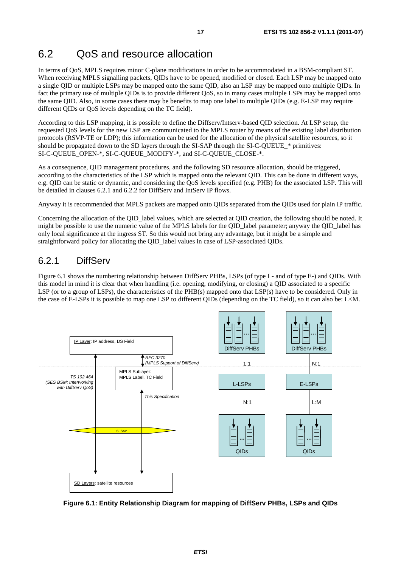### 6.2 QoS and resource allocation

In terms of QoS, MPLS requires minor C-plane modifications in order to be accommodated in a BSM-compliant ST. When receiving MPLS signalling packets, QIDs have to be opened, modified or closed. Each LSP may be mapped onto a single QID or multiple LSPs may be mapped onto the same QID, also an LSP may be mapped onto multiple QIDs. In fact the primary use of multiple QIDs is to provide different QoS, so in many cases multiple LSPs may be mapped onto the same QID. Also, in some cases there may be benefits to map one label to multiple QIDs (e.g. E-LSP may require different QIDs or QoS levels depending on the TC field).

According to this LSP mapping, it is possible to define the Diffserv/Intserv-based QID selection. At LSP setup, the requested QoS levels for the new LSP are communicated to the MPLS router by means of the existing label distribution protocols (RSVP-TE or LDP); this information can be used for the allocation of the physical satellite resources, so it should be propagated down to the SD layers through the SI-SAP through the SI-C-QUEUE\_\* primitives: SI-C-QUEUE\_OPEN-\*, SI-C-QUEUE\_MODIFY-\*, and SI-C-QUEUE\_CLOSE-\*.

As a consequence, QID management procedures, and the following SD resource allocation, should be triggered, according to the characteristics of the LSP which is mapped onto the relevant QID. This can be done in different ways, e.g. QID can be static or dynamic, and considering the QoS levels specified (e.g. PHB) for the associated LSP. This will be detailed in clauses 6.2.1 and 6.2.2 for DiffServ and IntServ IP flows.

Anyway it is recommended that MPLS packets are mapped onto QIDs separated from the QIDs used for plain IP traffic.

Concerning the allocation of the QID\_label values, which are selected at QID creation, the following should be noted. It might be possible to use the numeric value of the MPLS labels for the OID\_label parameter; anyway the OID\_label has only local significance at the ingress ST. So this would not bring any advantage, but it might be a simple and straightforward policy for allocating the QID\_label values in case of LSP-associated QIDs.

#### 6.2.1 DiffServ

Figure 6.1 shows the numbering relationship between DiffServ PHBs, LSPs (of type L- and of type E-) and QIDs. With this model in mind it is clear that when handling (i.e. opening, modifying, or closing) a QID associated to a specific LSP (or to a group of LSPs), the characteristics of the PHB(s) mapped onto that LSP(s) have to be considered. Only in the case of E-LSPs it is possible to map one LSP to different QIDs (depending on the TC field), so it can also be: L<M.



**Figure 6.1: Entity Relationship Diagram for mapping of DiffServ PHBs, LSPs and QIDs**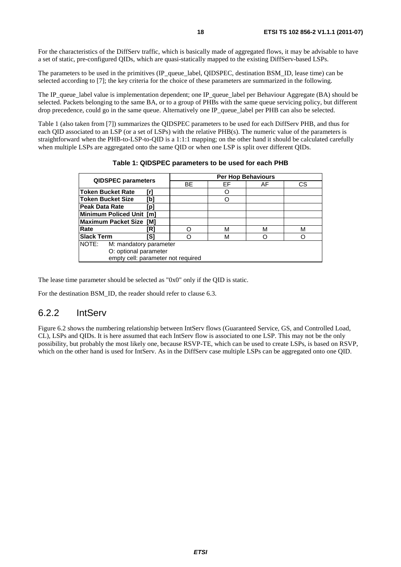For the characteristics of the DiffServ traffic, which is basically made of aggregated flows, it may be advisable to have a set of static, pre-configured QIDs, which are quasi-statically mapped to the existing DiffServ-based LSPs.

The parameters to be used in the primitives (IP\_queue\_label, QIDSPEC, destination BSM\_ID, lease time) can be selected according to [7]; the key criteria for the choice of these parameters are summarized in the following.

The IP queue label value is implementation dependent; one IP queue label per Behaviour Aggregate (BA) should be selected. Packets belonging to the same BA, or to a group of PHBs with the same queue servicing policy, but different drop precedence, could go in the same queue. Alternatively one IP queue label per PHB can also be selected.

Table 1 (also taken from [7]) summarizes the QIDSPEC parameters to be used for each DiffServ PHB, and thus for each QID associated to an LSP (or a set of LSPs) with the relative PHB(s). The numeric value of the parameters is straightforward when the PHB-to-LSP-to-QID is a 1:1:1 mapping; on the other hand it should be calculated carefully when multiple LSPs are aggregated onto the same QID or when one LSP is split over different QIDs.

| <b>QIDSPEC parameters</b>          |                        | Per Hop Behaviours |    |    |    |  |
|------------------------------------|------------------------|--------------------|----|----|----|--|
|                                    |                        | <b>BE</b>          | EF | AF | СS |  |
| <b>Token Bucket Rate</b>           | [r]                    |                    |    |    |    |  |
| <b>Token Bucket Size</b>           | [b]                    |                    |    |    |    |  |
| Peak Data Rate                     | [p]                    |                    |    |    |    |  |
| Minimum Policed Unit [m]           |                        |                    |    |    |    |  |
| <b>Maximum Packet Size</b><br>TM1  |                        |                    |    |    |    |  |
| Rate                               | [R]                    |                    | М  | M  | м  |  |
| <b>Slack Term</b>                  | IS1                    |                    | М  |    |    |  |
| NOTE:                              | M: mandatory parameter |                    |    |    |    |  |
| O: optional parameter              |                        |                    |    |    |    |  |
| empty cell: parameter not required |                        |                    |    |    |    |  |

|  |  | Table 1: QIDSPEC parameters to be used for each PHB |  |
|--|--|-----------------------------------------------------|--|
|--|--|-----------------------------------------------------|--|

The lease time parameter should be selected as "0x0" only if the QID is static.

For the destination BSM\_ID, the reader should refer to clause 6.3.

#### 6.2.2 IntServ

Figure 6.2 shows the numbering relationship between IntServ flows (Guaranteed Service, GS, and Controlled Load, CL), LSPs and QIDs. It is here assumed that each IntServ flow is associated to one LSP. This may not be the only possibility, but probably the most likely one, because RSVP-TE, which can be used to create LSPs, is based on RSVP, which on the other hand is used for IntServ. As in the DiffServ case multiple LSPs can be aggregated onto one QID.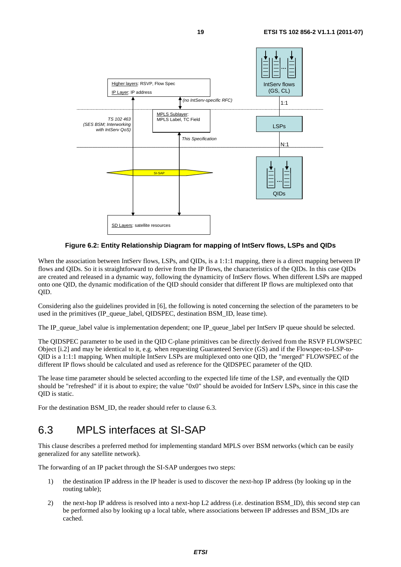

#### **Figure 6.2: Entity Relationship Diagram for mapping of IntServ flows, LSPs and QIDs**

When the association between IntServ flows, LSPs, and QIDs, is a 1:1:1 mapping, there is a direct mapping between IP flows and QIDs. So it is straightforward to derive from the IP flows, the characteristics of the QIDs. In this case QIDs are created and released in a dynamic way, following the dynamicity of IntServ flows. When different LSPs are mapped onto one QID, the dynamic modification of the QID should consider that different IP flows are multiplexed onto that QID.

Considering also the guidelines provided in [6], the following is noted concerning the selection of the parameters to be used in the primitives (IP queue label, OIDSPEC, destination BSM ID, lease time).

The IP\_queue\_label value is implementation dependent; one IP\_queue\_label per IntServ IP queue should be selected.

The QIDSPEC parameter to be used in the QID C-plane primitives can be directly derived from the RSVP FLOWSPEC Object [i.2] and may be identical to it, e.g. when requesting Guaranteed Service (GS) and if the Flowspec-to-LSP-to-QID is a 1:1:1 mapping. When multiple IntServ LSPs are multiplexed onto one QID, the "merged" FLOWSPEC of the different IP flows should be calculated and used as reference for the QIDSPEC parameter of the QID.

The lease time parameter should be selected according to the expected life time of the LSP, and eventually the QID should be "refreshed" if it is about to expire; the value "0x0" should be avoided for IntServ LSPs, since in this case the QID is static.

For the destination BSM\_ID, the reader should refer to clause 6.3.

### 6.3 MPLS interfaces at SI-SAP

This clause describes a preferred method for implementing standard MPLS over BSM networks (which can be easily generalized for any satellite network).

The forwarding of an IP packet through the SI-SAP undergoes two steps:

- 1) the destination IP address in the IP header is used to discover the next-hop IP address (by looking up in the routing table);
- 2) the next-hop IP address is resolved into a next-hop L2 address (i.e. destination BSM\_ID), this second step can be performed also by looking up a local table, where associations between IP addresses and BSM\_IDs are cached.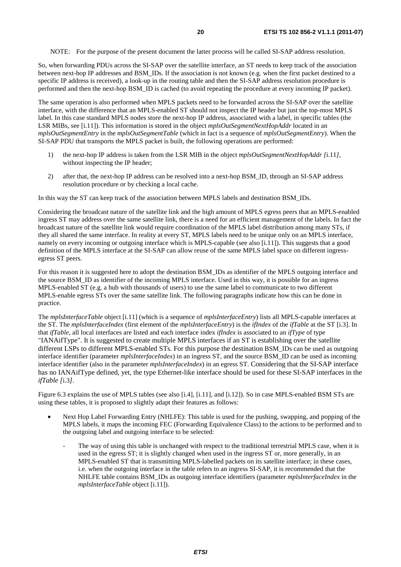NOTE: For the purpose of the present document the latter process will be called SI-SAP address resolution.

So, when forwarding PDUs across the SI-SAP over the satellite interface, an ST needs to keep track of the association between next-hop IP addresses and BSM\_IDs. If the association is not known (e.g. when the first packet destined to a specific IP address is received), a look-up in the routing table and then the SI-SAP address resolution procedure is performed and then the next-hop BSM\_ID is cached (to avoid repeating the procedure at every incoming IP packet).

The same operation is also performed when MPLS packets need to be forwarded across the SI-SAP over the satellite interface, with the difference that an MPLS-enabled ST should not inspect the IP header but just the top-most MPLS label. In this case standard MPLS nodes store the next-hop IP address, associated with a label, in specific tables (the LSR MIBs, see [i.11]). This information is stored in the object *mplsOutSegmentNextHopAddr* located in an *mplsOutSegmentEntry* in the *mplsOutSegmentTable* (which in fact is a sequence of *mplsOutSegmentEntry*). When the SI-SAP PDU that transports the MPLS packet is built, the following operations are performed:

- 1) the next-hop IP address is taken from the LSR MIB in the object *mplsOutSegmentNextHopAddr [*i.11*]*, without inspecting the IP header;
- 2) after that, the next-hop IP address can be resolved into a next-hop BSM\_ID, through an SI-SAP address resolution procedure or by checking a local cache.

In this way the ST can keep track of the association between MPLS labels and destination BSM\_IDs.

Considering the broadcast nature of the satellite link and the high amount of MPLS egress peers that an MPLS-enabled ingress ST may address over the same satellite link, there is a need for an efficient management of the labels. In fact the broadcast nature of the satellite link would require coordination of the MPLS label distribution among many STs, if they all shared the same interface. In reality at every ST, MPLS labels need to be unique only on an MPLS interface, namely on every incoming or outgoing interface which is MPLS-capable (see also [i.11]). This suggests that a good definition of the MPLS interface at the SI-SAP can allow reuse of the same MPLS label space on different ingressegress ST peers.

For this reason it is suggested here to adopt the destination BSM\_IDs as identifier of the MPLS outgoing interface and the source BSM\_ID as identifier of the incoming MPLS interface. Used in this way, it is possible for an ingress MPLS-enabled ST (e.g. a hub with thousands of users) to use the same label to communicate to two different MPLS-enable egress STs over the same satellite link. The following paragraphs indicate how this can be done in practice.

The *mplsInterfaceTable* object [i.11] (which is a sequence of *mplsInterfaceEntry*) lists all MPLS-capable interfaces at the ST. The *mplsInterfaceIndex* (first element of the *mplsInterfaceEntry*) is the *ifIndex* of the *ifTable* at the ST [i.3]. In that *ifTable*, all local interfaces are listed and each interface index *ifIndex* is associated to an *ifType* of type "IANAifType". It is suggested to create multiple MPLS interfaces if an ST is establishing over the satellite different LSPs to different MPLS-enabled STs. For this purpose the destination BSM\_IDs can be used as outgoing interface identifier (parameter *mplsInterfaceIndex*) in an ingress ST, and the source BSM\_ID can be used as incoming interface identifier (also in the parameter *mplsInterfaceIndex*) in an egress ST. Considering that the SI-SAP interface has no IANAifType defined, yet, the type Ethernet-like interface should be used for these SI-SAP interfaces in the *ifTable [*i.3*]*.

Figure 6.3 explains the use of MPLS tables (see also [i.4], [i.11], and [i.12]). So in case MPLS-enabled BSM STs are using these tables, it is proposed to slightly adapt their features as follows:

- Next Hop Label Forwarding Entry (NHLFE): This table is used for the pushing, swapping, and popping of the MPLS labels, it maps the incoming FEC (Forwarding Equivalence Class) to the actions to be performed and to the outgoing label and outgoing interface to be selected:
	- The way of using this table is unchanged with respect to the traditional terrestrial MPLS case, when it is used in the egress ST; it is slightly changed when used in the ingress ST or, more generally, in an MPLS-enabled ST that is transmitting MPLS-labelled packets on its satellite interface; in these cases, i.e. when the outgoing interface in the table refers to an ingress SI-SAP, it is recommended that the NHLFE table contains BSM\_IDs as outgoing interface identifiers (parameter *mplsInterfaceIndex* in the *mplsInterfaceTable* object [i.11]).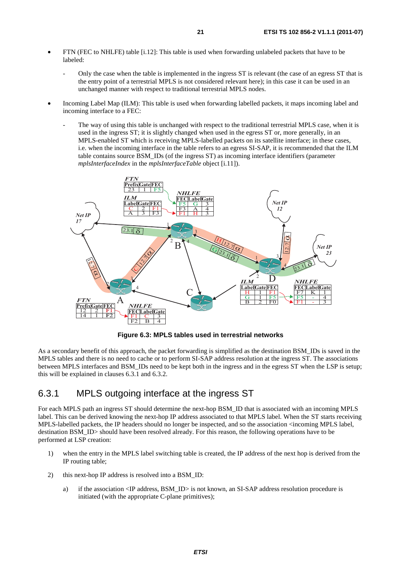- FTN (FEC to NHLFE) table [i.12]: This table is used when forwarding unlabeled packets that have to be labeled:
	- Only the case when the table is implemented in the ingress ST is relevant (the case of an egress ST that is the entry point of a terrestrial MPLS is not considered relevant here); in this case it can be used in an unchanged manner with respect to traditional terrestrial MPLS nodes.
- Incoming Label Map (ILM): This table is used when forwarding labelled packets, it maps incoming label and incoming interface to a FEC:
	- The way of using this table is unchanged with respect to the traditional terrestrial MPLS case, when it is used in the ingress ST; it is slightly changed when used in the egress ST or, more generally, in an MPLS-enabled ST which is receiving MPLS-labelled packets on its satellite interface; in these cases, i.e. when the incoming interface in the table refers to an egress SI-SAP, it is recommended that the ILM table contains source BSM\_IDs (of the ingress ST) as incoming interface identifiers (parameter *mplsInterfaceIndex* in the *mplsInterfaceTable* object [i.11]).



**Figure 6.3: MPLS tables used in terrestrial networks** 

As a secondary benefit of this approach, the packet forwarding is simplified as the destination BSM\_IDs is saved in the MPLS tables and there is no need to cache or to perform SI-SAP address resolution at the ingress ST. The associations between MPLS interfaces and BSM\_IDs need to be kept both in the ingress and in the egress ST when the LSP is setup; this will be explained in clauses 6.3.1 and 6.3.2.

#### 6.3.1 MPLS outgoing interface at the ingress ST

For each MPLS path an ingress ST should determine the next-hop BSM\_ID that is associated with an incoming MPLS label. This can be derived knowing the next-hop IP address associated to that MPLS label. When the ST starts receiving MPLS-labelled packets, the IP headers should no longer be inspected, and so the association <incoming MPLS label, destination BSM\_ID> should have been resolved already. For this reason, the following operations have to be performed at LSP creation:

- 1) when the entry in the MPLS label switching table is created, the IP address of the next hop is derived from the IP routing table;
- 2) this next-hop IP address is resolved into a BSM\_ID:
	- a) if the association <IP address, BSM\_ID> is not known, an SI-SAP address resolution procedure is initiated (with the appropriate C-plane primitives);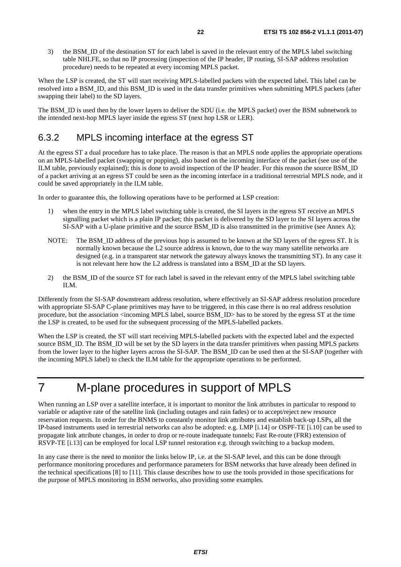3) the BSM\_ID of the destination ST for each label is saved in the relevant entry of the MPLS label switching table NHLFE, so that no IP processing (inspection of the IP header, IP routing, SI-SAP address resolution procedure) needs to be repeated at every incoming MPLS packet.

When the LSP is created, the ST will start receiving MPLS-labelled packets with the expected label. This label can be resolved into a BSM\_ID, and this BSM\_ID is used in the data transfer primitives when submitting MPLS packets (after swapping their label) to the SD layers.

The BSM\_ID is used then by the lower layers to deliver the SDU (i.e. the MPLS packet) over the BSM subnetwork to the intended next-hop MPLS layer inside the egress ST (next hop LSR or LER).

#### 6.3.2 MPLS incoming interface at the egress ST

At the egress ST a dual procedure has to take place. The reason is that an MPLS node applies the appropriate operations on an MPLS-labelled packet (swapping or popping), also based on the incoming interface of the packet (see use of the ILM table, previously explained); this is done to avoid inspection of the IP header. For this reason the source BSM\_ID of a packet arriving at an egress ST could be seen as the incoming interface in a traditional terrestrial MPLS node, and it could be saved appropriately in the ILM table.

In order to guarantee this, the following operations have to be performed at LSP creation:

- 1) when the entry in the MPLS label switching table is created, the SI layers in the egress ST receive an MPLS signalling packet which is a plain IP packet; this packet is delivered by the SD layer to the SI layers across the SI-SAP with a U-plane primitive and the source BSM\_ID is also transmitted in the primitive (see Annex A);
- NOTE: The BSM\_ID address of the previous hop is assumed to be known at the SD layers of the egress ST. It is normally known because the L2 source address is known, due to the way many satellite networks are designed (e.g. in a transparent star network the gateway always knows the transmitting ST). In any case it is not relevant here how the L2 address is translated into a BSM\_ID at the SD layers.
- 2) the BSM\_ID of the source ST for each label is saved in the relevant entry of the MPLS label switching table ILM.

Differently from the SI-SAP downstream address resolution, where effectively an SI-SAP address resolution procedure with appropriate SI-SAP C-plane primitives may have to be triggered, in this case there is no real address resolution procedure, but the association <incoming MPLS label, source BSM\_ID> has to be stored by the egress ST at the time the LSP is created, to be used for the subsequent processing of the MPLS-labelled packets.

When the LSP is created, the ST will start receiving MPLS-labelled packets with the expected label and the expected source BSM\_ID. The BSM\_ID will be set by the SD layers in the data transfer primitives when passing MPLS packets from the lower layer to the higher layers across the SI-SAP. The BSM\_ID can be used then at the SI-SAP (together with the incoming MPLS label) to check the ILM table for the appropriate operations to be performed.

# 7 M-plane procedures in support of MPLS

When running an LSP over a satellite interface, it is important to monitor the link attributes in particular to respond to variable or adaptive rate of the satellite link (including outages and rain fades) or to accept/reject new resource reservation requests. In order for the BNMS to constantly monitor link attributes and establish back-up LSPs, all the IP-based instruments used in terrestrial networks can also be adopted: e.g. LMP [i.14] or OSPF-TE [i.10] can be used to propagate link attribute changes, in order to drop or re-route inadequate tunnels; Fast Re-route (FRR) extension of RSVP-TE [i.13] can be employed for local LSP tunnel restoration e.g. through switching to a backup modem.

In any case there is the need to monitor the links below IP, i.e. at the SI-SAP level, and this can be done through performance monitoring procedures and performance parameters for BSM networks that have already been defined in the technical specifications [8] to [11]. This clause describes how to use the tools provided in those specifications for the purpose of MPLS monitoring in BSM networks, also providing some examples.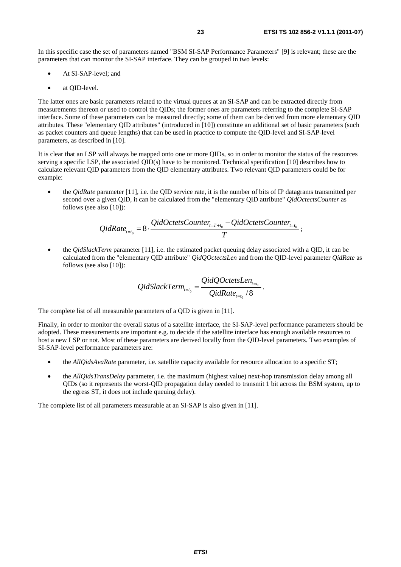In this specific case the set of parameters named "BSM SI-SAP Performance Parameters" [9] is relevant; these are the parameters that can monitor the SI-SAP interface. They can be grouped in two levels:

- At SI-SAP-level; and
- at QID-level.

The latter ones are basic parameters related to the virtual queues at an SI-SAP and can be extracted directly from measurements thereon or used to control the QIDs; the former ones are parameters referring to the complete SI-SAP interface. Some of these parameters can be measured directly; some of them can be derived from more elementary QID attributes. These "elementary QID attributes" (introduced in [10]) constitute an additional set of basic parameters (such as packet counters and queue lengths) that can be used in practice to compute the QID-level and SI-SAP-level parameters, as described in [10].

It is clear that an LSP will always be mapped onto one or more QIDs, so in order to monitor the status of the resources serving a specific LSP, the associated QID(s) have to be monitored. Technical specification [10] describes how to calculate relevant QID parameters from the QID elementary attributes. Two relevant QID parameters could be for example:

• the *QidRate* parameter [11], i.e. the QID service rate, it is the number of bits of IP datagrams transmitted per second over a given QID, it can be calculated from the "elementary QID attribute" *QidOctectsCounter* as follows (see also [10]):

$$
QidRate_{t=t_0} = 8 \cdot \frac{QidOctetsCounter_{t=T+t_0} - QidOctetsCounter_{t=t_0}}{T}
$$

• the *QidSlackTerm* parameter [11], i.e. the estimated packet queuing delay associated with a QID, it can be calculated from the "elementary QID attribute" *QidQOctectsLen* and from the QID-level parameter *QidRate* as follows (see also [10]):

$$
QidSlackTerm_{t=t_0}} = \frac{QidQOctetsLen_{t=t_0}}{QidRate_{t=t_0}}.
$$

The complete list of all measurable parameters of a QID is given in [11].

Finally, in order to monitor the overall status of a satellite interface, the SI-SAP-level performance parameters should be adopted. These measurements are important e.g. to decide if the satellite interface has enough available resources to host a new LSP or not. Most of these parameters are derived locally from the QID-level parameters. Two examples of SI-SAP-level performance parameters are:

- the *AllQidsAvaRate* parameter, i.e. satellite capacity available for resource allocation to a specific ST;
- the *AllQidsTransDelay* parameter, i.e. the maximum (highest value) next-hop transmission delay among all QIDs (so it represents the worst-QID propagation delay needed to transmit 1 bit across the BSM system, up to the egress ST, it does not include queuing delay).

The complete list of all parameters measurable at an SI-SAP is also given in [11].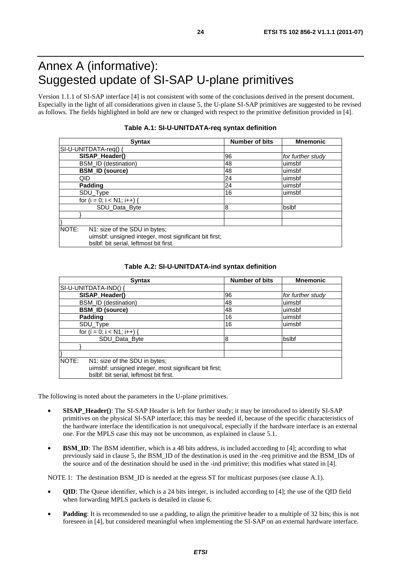# Annex A (informative): Suggested update of SI-SAP U-plane primitives

Version 1.1.1 of SI-SAP interface [4] is not consistent with some of the conclusions derived in the present document. Especially in the light of all considerations given in clause 5, the U-plane SI-SAP primitives are suggested to be revised as follows. The fields highlighted in bold are new or changed with respect to the primitive definition provided in [4].

| <b>Syntax</b>                                                                                                                             | <b>Number of bits</b> | <b>Mnemonic</b>   |  |
|-------------------------------------------------------------------------------------------------------------------------------------------|-----------------------|-------------------|--|
| SI-U-UNITDATA-req() {                                                                                                                     |                       |                   |  |
| SISAP_Header()                                                                                                                            | 96                    | for further study |  |
| BSM_ID (destination)                                                                                                                      | 48                    | uimsbf            |  |
| <b>BSM_ID (source)</b>                                                                                                                    | 48                    | luimsbf           |  |
| QID                                                                                                                                       | 24                    | uimsbf            |  |
| Padding                                                                                                                                   | 24                    | luimsbf           |  |
| SDU_Type                                                                                                                                  | 16                    | uimsbf            |  |
| for $(i = 0; i < N1; i++)$                                                                                                                |                       |                   |  |
| SDU Data Byte                                                                                                                             | 8                     | bslbf             |  |
|                                                                                                                                           |                       |                   |  |
|                                                                                                                                           |                       |                   |  |
| NOTE:<br>N1: size of the SDU in bytes;<br>uimsbf: unsigned integer, most significant bit first;<br>bslbf: bit serial, leftmost bit first. |                       |                   |  |

#### **Table A.1: SI-U-UNITDATA-req syntax definition**

|  |  |  |  |  |  |  | Table A.2: SI-U-UNITDATA-ind syntax definition |
|--|--|--|--|--|--|--|------------------------------------------------|
|--|--|--|--|--|--|--|------------------------------------------------|

| <b>Syntax</b>                                         | Number of bits | <b>Mnemonic</b>   |
|-------------------------------------------------------|----------------|-------------------|
| SI-U-UNITDATA-IND() {                                 |                |                   |
| SISAP_Header()                                        | 96             | for further study |
| BSM_ID (destination)                                  | 48             | uimsbf            |
| <b>BSM_ID (source)</b>                                | 48             | uimsbf            |
| <b>Padding</b>                                        | 16             | uimsbf            |
| SDU_Type                                              | 16             | uimsbf            |
| for $(i = 0; i < N1; i++)$ {                          |                |                   |
| SDU Data Byte                                         | 8              | bslbf             |
|                                                       |                |                   |
|                                                       |                |                   |
| NOTE:<br>N1: size of the SDU in bytes;                |                |                   |
| uimsbf: unsigned integer, most significant bit first; |                |                   |
| bslbf: bit serial, leftmost bit first.                |                |                   |

The following is noted about the parameters in the U-plane primitives.

- **SISAP\_Header()**: The SI-SAP Header is left for further study; it may be introduced to identify SI-SAP primitives on the physical SI-SAP interface; this may be needed if, because of the specific characteristics of the hardware interface the identification is not unequivocal, especially if the hardware interface is an external one. For the MPLS case this may not be uncommon, as explained in clause 5.1.
- **BSM\_ID:** The BSM identifier, which is a 48 bits address, is included according to [4]; according to what previously said in clause 5, the BSM\_ID of the destination is used in the -req primitive and the BSM\_IDs of the source and of the destination should be used in the -ind primitive; this modifies what stated in [4].

NOTE 1: The destination BSM\_ID is needed at the egress ST for multicast purposes (see clause A.1).

- **QID**: The Queue identifier, which is a 24 bits integer, is included according to [4]; the use of the QID field when forwarding MPLS packets is detailed in clause 6.
- **Padding**: It is recommended to use a padding, to align the primitive header to a multiple of 32 bits; this is not foreseen in [4], but considered meaningful when implementing the SI-SAP on an external hardware interface.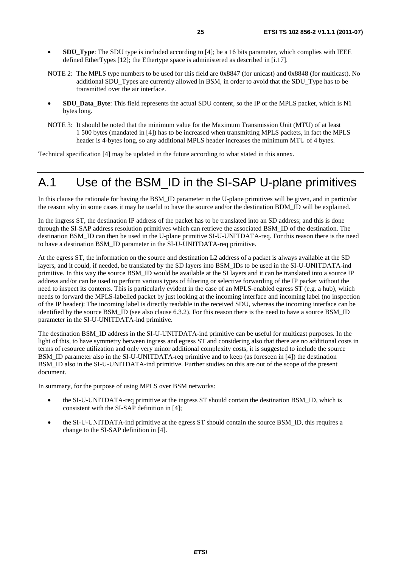- **SDU\_Type**: The SDU type is included according to [4]; be a 16 bits parameter, which complies with IEEE defined EtherTypes [12]; the Ethertype space is administered as described in [i.17].
- NOTE 2: The MPLS type numbers to be used for this field are 0x8847 (for unicast) and 0x8848 (for multicast). No additional SDU\_Types are currently allowed in BSM, in order to avoid that the SDU\_Type has to be transmitted over the air interface.
- **SDU\_Data\_Byte**: This field represents the actual SDU content, so the IP or the MPLS packet, which is N1 bytes long.
- NOTE 3: It should be noted that the minimum value for the Maximum Transmission Unit (MTU) of at least 1 500 bytes (mandated in [4]) has to be increased when transmitting MPLS packets, in fact the MPLS header is 4-bytes long, so any additional MPLS header increases the minimum MTU of 4 bytes.

Technical specification [4] may be updated in the future according to what stated in this annex.

# A.1 Use of the BSM\_ID in the SI-SAP U-plane primitives

In this clause the rationale for having the BSM\_ID parameter in the U-plane primitives will be given, and in particular the reason why in some cases it may be useful to have the source and/or the destination BDM\_ID will be explained.

In the ingress ST, the destination IP address of the packet has to be translated into an SD address; and this is done through the SI-SAP address resolution primitives which can retrieve the associated BSM\_ID of the destination. The destination BSM\_ID can then be used in the U-plane primitive SI-U-UNITDATA-req. For this reason there is the need to have a destination BSM\_ID parameter in the SI-U-UNITDATA-req primitive.

At the egress ST, the information on the source and destination L2 address of a packet is always available at the SD layers, and it could, if needed, be translated by the SD layers into BSM\_IDs to be used in the SI-U-UNITDATA-ind primitive. In this way the source BSM\_ID would be available at the SI layers and it can be translated into a source IP address and/or can be used to perform various types of filtering or selective forwarding of the IP packet without the need to inspect its contents. This is particularly evident in the case of an MPLS-enabled egress ST (e.g. a hub), which needs to forward the MPLS-labelled packet by just looking at the incoming interface and incoming label (no inspection of the IP header): The incoming label is directly readable in the received SDU, whereas the incoming interface can be identified by the source BSM\_ID (see also clause 6.3.2). For this reason there is the need to have a source BSM\_ID parameter in the SI-U-UNITDATA-ind primitive.

The destination BSM\_ID address in the SI-U-UNITDATA-ind primitive can be useful for multicast purposes. In the light of this, to have symmetry between ingress and egress ST and considering also that there are no additional costs in terms of resource utilization and only very minor additional complexity costs, it is suggested to include the source BSM\_ID parameter also in the SI-U-UNITDATA-req primitive and to keep (as foreseen in [4]) the destination BSM\_ID also in the SI-U-UNITDATA-ind primitive. Further studies on this are out of the scope of the present document.

In summary, for the purpose of using MPLS over BSM networks:

- the SI-U-UNITDATA-req primitive at the ingress ST should contain the destination BSM\_ID, which is consistent with the SI-SAP definition in [4];
- the SI-U-UNITDATA-ind primitive at the egress ST should contain the source BSM\_ID, this requires a change to the SI-SAP definition in [4].